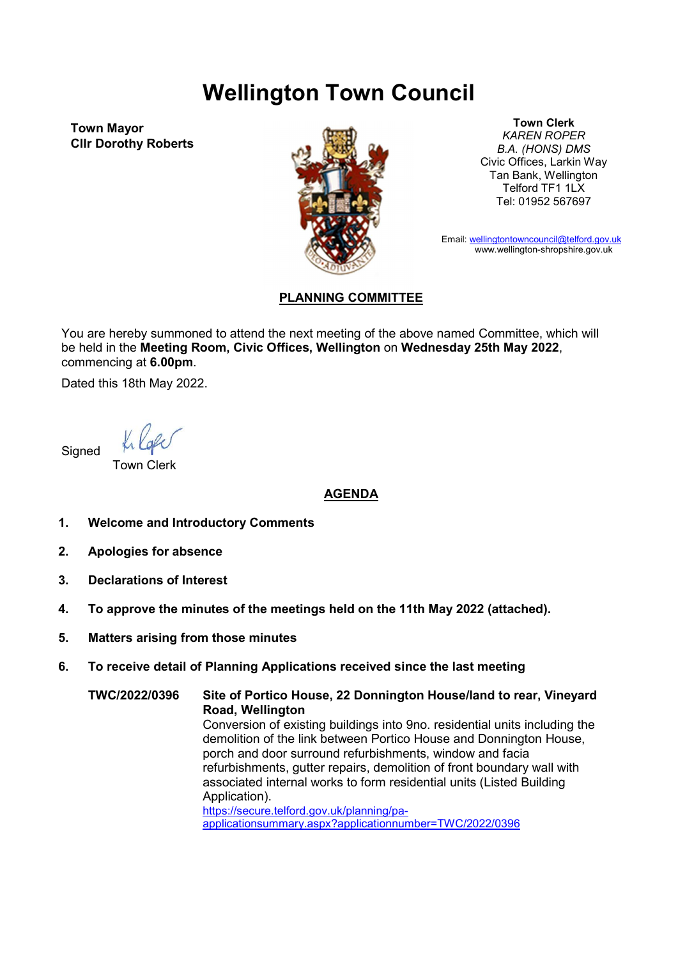## Wellington Town Council

Town Mayor Cllr Dorothy Roberts



Town Clerk KAREN ROPER B.A. (HONS) DMS Civic Offices, Larkin Way Tan Bank, Wellington Telford TF1 1LX Tel: 01952 567697

Email: wellingtontowncouncil@telford.gov.uk www.wellington-shropshire.gov.uk

## PLANNING COMMITTEE

You are hereby summoned to attend the next meeting of the above named Committee, which will be held in the Meeting Room, Civic Offices, Wellington on Wednesday 25th May 2022, commencing at 6.00pm.

Dated this 18th May 2022.

**Signed** 

Town Clerk

## AGENDA

- 1. Welcome and Introductory Comments
- 2. Apologies for absence
- 3. Declarations of Interest
- 4. To approve the minutes of the meetings held on the 11th May 2022 (attached).
- 5. Matters arising from those minutes

## 6. To receive detail of Planning Applications received since the last meeting

TWC/2022/0396 Site of Portico House, 22 Donnington House/land to rear, Vineyard Road, Wellington Conversion of existing buildings into 9no. residential units including the demolition of the link between Portico House and Donnington House, porch and door surround refurbishments, window and facia refurbishments, gutter repairs, demolition of front boundary wall with associated internal works to form residential units (Listed Building Application). https://secure.telford.gov.uk/planning/paapplicationsummary.aspx?applicationnumber=TWC/2022/0396